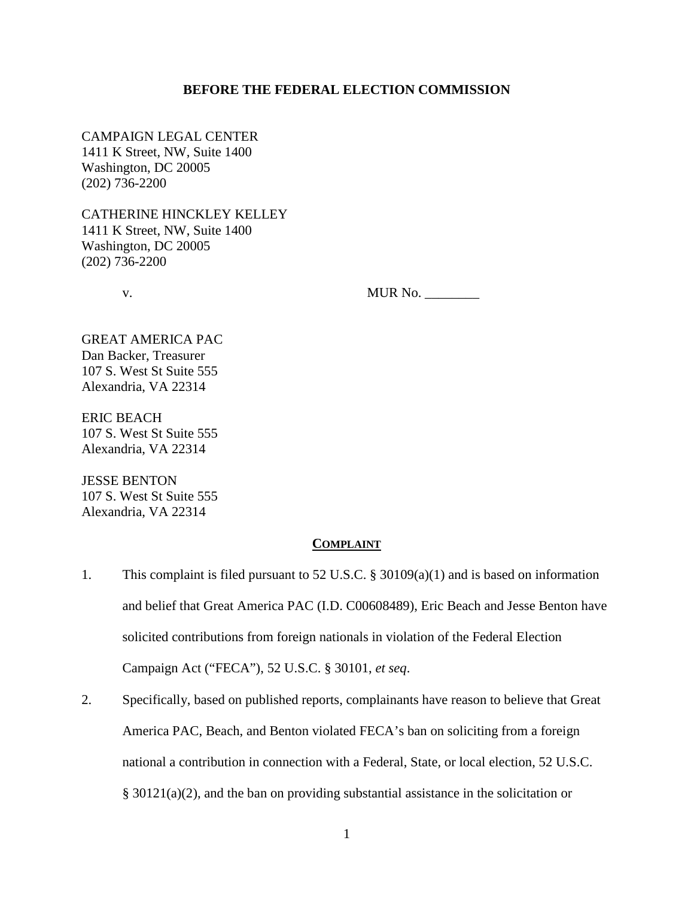#### **BEFORE THE FEDERAL ELECTION COMMISSION**

CAMPAIGN LEGAL CENTER 1411 K Street, NW, Suite 1400 Washington, DC 20005 (202) 736-2200

CATHERINE HINCKLEY KELLEY 1411 K Street, NW, Suite 1400 Washington, DC 20005 (202) 736-2200

v. MUR No. \_\_\_\_\_\_\_\_

GREAT AMERICA PAC Dan Backer, Treasurer 107 S. West St Suite 555 Alexandria, VA 22314

ERIC BEACH 107 S. West St Suite 555 Alexandria, VA 22314

JESSE BENTON 107 S. West St Suite 555 Alexandria, VA 22314

#### **COMPLAINT**

- 1. This complaint is filed pursuant to 52 U.S.C. § 30109(a)(1) and is based on information and belief that Great America PAC (I.D. C00608489), Eric Beach and Jesse Benton have solicited contributions from foreign nationals in violation of the Federal Election Campaign Act ("FECA"), 52 U.S.C. § 30101, *et seq*.
- 2. Specifically, based on published reports, complainants have reason to believe that Great America PAC, Beach, and Benton violated FECA's ban on soliciting from a foreign national a contribution in connection with a Federal, State, or local election, 52 U.S.C. § 30121(a)(2), and the ban on providing substantial assistance in the solicitation or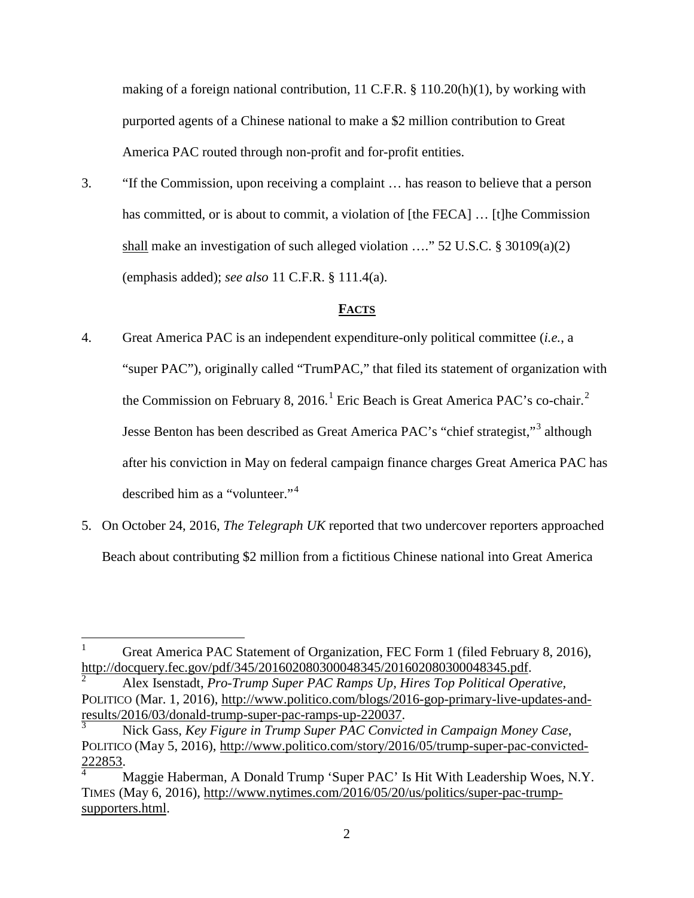making of a foreign national contribution, 11 C.F.R.  $\S$  110.20(h)(1), by working with purported agents of a Chinese national to make a \$2 million contribution to Great America PAC routed through non-profit and for-profit entities.

3. "If the Commission, upon receiving a complaint … has reason to believe that a person has committed, or is about to commit, a violation of [the FECA] … [t]he Commission shall make an investigation of such alleged violation …." 52 U.S.C. § 30109(a)(2) (emphasis added); *see also* 11 C.F.R. § 111.4(a).

# **FACTS**

- 4. Great America PAC is an independent expenditure-only political committee (*i.e.*, a "super PAC"), originally called "TrumPAC," that filed its statement of organization with the Commission on February 8, 20[1](#page-1-0)6.<sup>1</sup> Eric Beach is Great America PAC's co-chair.<sup>[2](#page-1-1)</sup> Jesse Benton has been described as Great America PAC's "chief strategist,"<sup>[3](#page-1-2)</sup> although after his conviction in May on federal campaign finance charges Great America PAC has described him as a "volunteer."[4](#page-1-3)
- 5. On October 24, 2016, *The Telegraph UK* reported that two undercover reporters approached Beach about contributing \$2 million from a fictitious Chinese national into Great America

<span id="page-1-0"></span><sup>&</sup>lt;sup>1</sup> Great America PAC Statement of Organization, FEC Form 1 (filed February 8, 2016), http://docquery.fec.gov/pdf/345/201602080300048345/201602080300048345.pdf.

<span id="page-1-1"></span>[http://docquery.fec.gov/pdf/345/201602080300048345/201602080300048345.pdf.](http://docquery.fec.gov/pdf/345/201602080300048345/201602080300048345.pdf) [2](http://docquery.fec.gov/pdf/345/201602080300048345/201602080300048345.pdf) Alex Isenstadt, *Pro-Trump Super PAC Ramps Up, Hires Top Political Operative,* POLITICO (Mar. 1, 2016), [http://www.politico.com/blogs/2016-gop-primary-live-updates-and](http://www.politico.com/blogs/2016-gop-primary-live-updates-and-results/2016/03/donald-trump-super-pac-ramps-up-220037)[results/2016/03/donald-trump-super-pac-ramps-up-220037.](http://www.politico.com/blogs/2016-gop-primary-live-updates-and-results/2016/03/donald-trump-super-pac-ramps-up-220037) [3](http://www.politico.com/blogs/2016-gop-primary-live-updates-and-results/2016/03/donald-trump-super-pac-ramps-up-220037) Nick Gass, *Key Figure in Trump Super PAC Convicted in Campaign Money Case*,

<span id="page-1-2"></span>POLITICO (May 5, 2016), [http://www.politico.com/story/2016/05/trump-super-pac-convicted-](http://www.politico.com/story/2016/05/trump-super-pac-convicted-222853) $\frac{222853}{4}$  $\frac{222853}{4}$  $\frac{222853}{4}$ .<br>A Maggie Haberman, A Donald Trump 'Super PAC' Is Hit With Leadership Woes, N.Y.

<span id="page-1-3"></span>TIMES (May 6, 2016), [http://www.nytimes.com/2016/05/20/us/politics/super-pac-trump](http://www.nytimes.com/2016/05/20/us/politics/super-pac-trump-supporters.html)[supporters.html.](http://www.nytimes.com/2016/05/20/us/politics/super-pac-trump-supporters.html)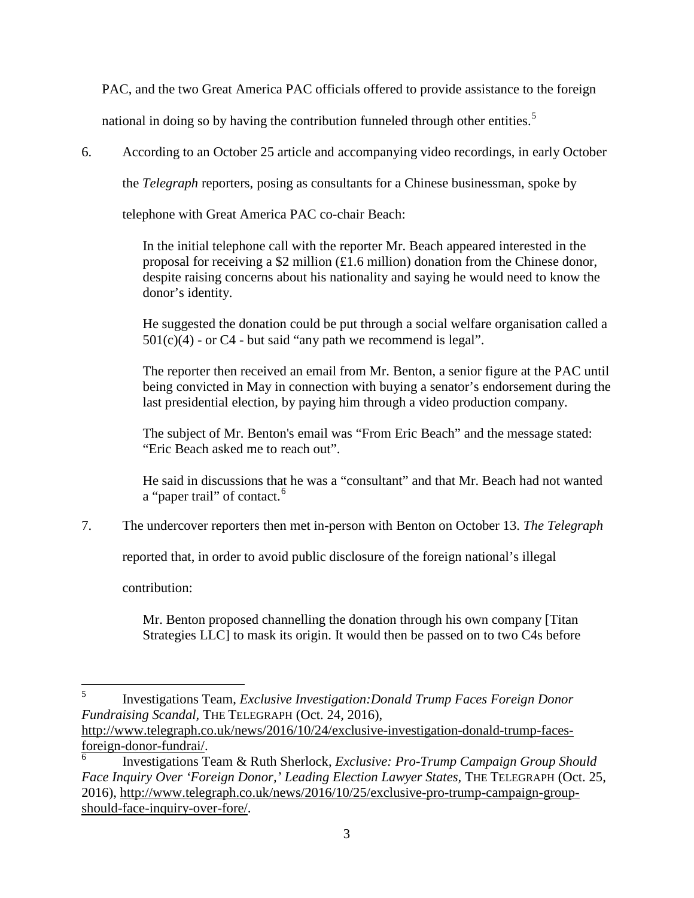PAC, and the two Great America PAC officials offered to provide assistance to the foreign

national in doing so by having the contribution funneled through other entities.<sup>[5](#page-2-0)</sup>

6. According to an October 25 article and accompanying video recordings, in early October

the *Telegraph* reporters, posing as consultants for a Chinese businessman, spoke by

telephone with Great America PAC co-chair Beach:

In the initial telephone call with the reporter Mr. Beach appeared interested in the proposal for receiving a \$2 million (£1.6 million) donation from the Chinese donor, despite raising concerns about his nationality and saying he would need to know the donor's identity.

He suggested the donation could be put through a social welfare organisation called a  $501(c)(4)$  - or C4 - but said "any path we recommend is legal".

The reporter then received an email from Mr. Benton, a senior figure at the PAC until being convicted in May in connection with buying a senator's endorsement during the last presidential election, by paying him through a video production company.

The subject of Mr. Benton's email was "From Eric Beach" and the message stated: "Eric Beach asked me to reach out".

He said in discussions that he was a "consultant" and that Mr. Beach had not wanted a "paper trail" of contact.<sup>[6](#page-2-1)</sup>

7. The undercover reporters then met in-person with Benton on October 13. *The Telegraph* 

reported that, in order to avoid public disclosure of the foreign national's illegal

contribution:

Mr. Benton proposed channelling the donation through his own company [Titan Strategies LLC] to mask its origin. It would then be passed on to two C4s before

[http://www.telegraph.co.uk/news/2016/10/24/exclusive-investigation-donald-trump-faces](http://www.telegraph.co.uk/news/2016/10/24/exclusive-investigation-donald-trump-faces-foreign-donor-fundrai/)[foreign-donor-fundrai/.](http://www.telegraph.co.uk/news/2016/10/24/exclusive-investigation-donald-trump-faces-foreign-donor-fundrai/) [6](http://www.telegraph.co.uk/news/2016/10/24/exclusive-investigation-donald-trump-faces-foreign-donor-fundrai/) Investigations Team & Ruth Sherlock, *Exclusive: Pro-Trump Campaign Group Should* 

<span id="page-2-0"></span> <sup>5</sup> Investigations Team, *Exclusive Investigation:Donald Trump Faces Foreign Donor Fundraising Scandal,* THE TELEGRAPH (Oct. 24, 2016),

<span id="page-2-1"></span>*Face Inquiry Over 'Foreign Donor,' Leading Election Lawyer States,* THE TELEGRAPH (Oct. 25, 2016), [http://www.telegraph.co.uk/news/2016/10/25/exclusive-pro-trump-campaign-group](http://www.telegraph.co.uk/news/2016/10/25/exclusive-pro-trump-campaign-group-should-face-inquiry-over-fore/)[should-face-inquiry-over-fore/.](http://www.telegraph.co.uk/news/2016/10/25/exclusive-pro-trump-campaign-group-should-face-inquiry-over-fore/)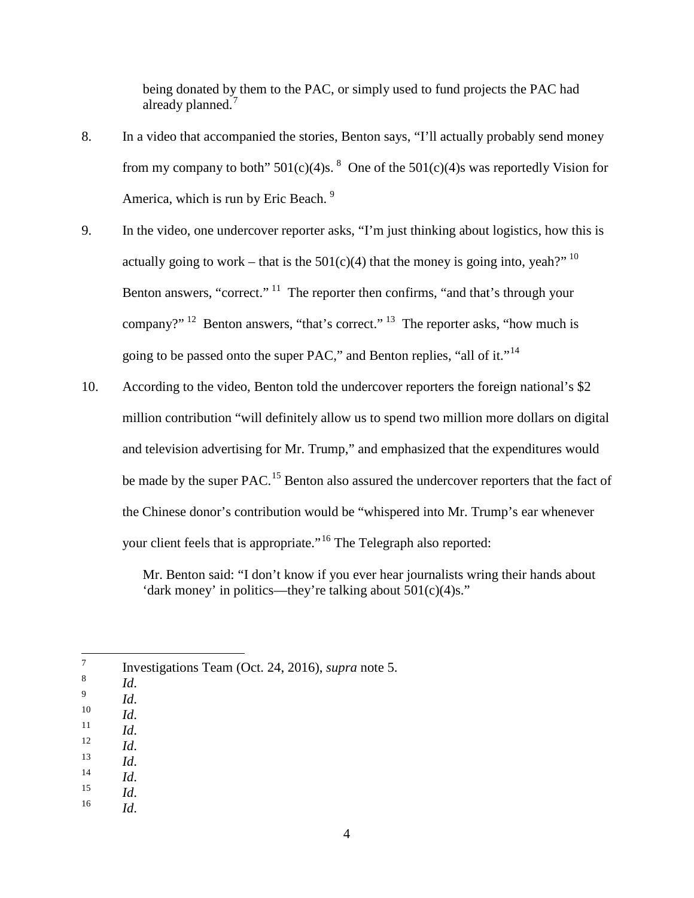being donated by them to the PAC, or simply used to fund projects the PAC had already planned.<sup>[7](#page-3-0)</sup>

- 8. In a video that accompanied the stories, Benton says, "I'll actually probably send money from my company to both"  $501(c)(4)$ s. <sup>[8](#page-3-1)</sup> One of the  $501(c)(4)$ s was reportedly Vision for America, which is run by Eric Beach.<sup>[9](#page-3-2)</sup>
- 9. In the video, one undercover reporter asks, "I'm just thinking about logistics, how this is actually going to work – that is the  $501(c)(4)$  that the money is going into, yeah?"<sup>[10](#page-3-3)</sup> Benton answers, "correct."  $\frac{11}{11}$  $\frac{11}{11}$  $\frac{11}{11}$  The reporter then confirms, "and that's through your company?" <sup>[12](#page-3-5)</sup> Benton answers, "that's correct." <sup>[13](#page-3-6)</sup> The reporter asks, "how much is going to be passed onto the super PAC," and Benton replies, "all of it."<sup>[14](#page-3-7)</sup>
- 10. According to the video, Benton told the undercover reporters the foreign national's \$2 million contribution "will definitely allow us to spend two million more dollars on digital and television advertising for Mr. Trump," and emphasized that the expenditures would be made by the super PAC.<sup>[15](#page-3-8)</sup> Benton also assured the undercover reporters that the fact of the Chinese donor's contribution would be "whispered into Mr. Trump's ear whenever your client feels that is appropriate."<sup>[16](#page-3-9)</sup> The Telegraph also reported:

Mr. Benton said: "I don't know if you ever hear journalists wring their hands about 'dark money' in politics—they're talking about 501(c)(4)s."

- <span id="page-3-2"></span>
- <span id="page-3-3"></span>
- <span id="page-3-5"></span><span id="page-3-4"></span>
- 
- <span id="page-3-6"></span>
- <span id="page-3-8"></span><span id="page-3-7"></span>
- 8 *Id.*<br>
9 *Id.*<br>
10 *Id.*<br>
11 *Id.*<br>
13 *Id.*<br>
15 *Id.*<br>
16 *Id.*
- <span id="page-3-9"></span>

<span id="page-3-1"></span><span id="page-3-0"></span> $\frac{7}{8}$  Investigations Team (Oct. 24, 2016), *supra* note 5.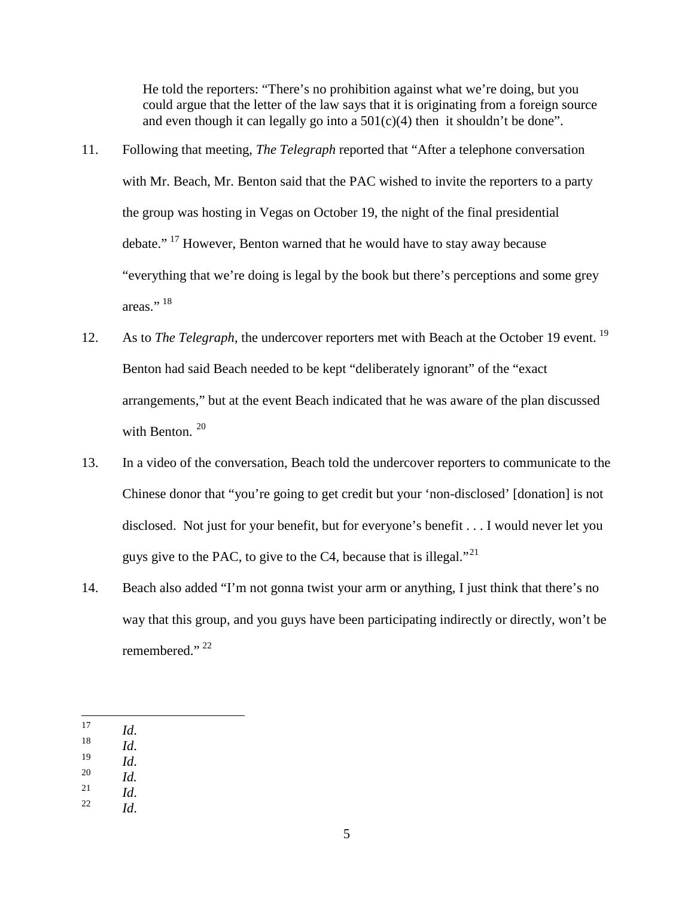He told the reporters: "There's no prohibition against what we're doing, but you could argue that the letter of the law says that it is originating from a foreign source and even though it can legally go into a  $501(c)(4)$  then it shouldn't be done".

- 11. Following that meeting, *The Telegraph* reported that "After a telephone conversation with Mr. Beach, Mr. Benton said that the PAC wished to invite the reporters to a party the group was hosting in Vegas on October 19, the night of the final presidential debate." [17](#page-4-0) However, Benton warned that he would have to stay away because "everything that we're doing is legal by the book but there's perceptions and some grey areas."<sup>[18](#page-4-1)</sup>
- 12. As to *The Telegraph*, the undercover reporters met with Beach at the October 19 event. [19](#page-4-2) Benton had said Beach needed to be kept "deliberately ignorant" of the "exact arrangements," but at the event Beach indicated that he was aware of the plan discussed with Benton.<sup>[20](#page-4-3)</sup>
- 13. In a video of the conversation, Beach told the undercover reporters to communicate to the Chinese donor that "you're going to get credit but your 'non-disclosed' [donation] is not disclosed. Not just for your benefit, but for everyone's benefit . . . I would never let you guys give to the PAC, to give to the C4, because that is illegal."<sup>[21](#page-4-4)</sup>
- 14. Beach also added "I'm not gonna twist your arm or anything, I just think that there's no way that this group, and you guys have been participating indirectly or directly, won't be remembered."<sup>[22](#page-4-5)</sup>

- <span id="page-4-2"></span><span id="page-4-1"></span>
- 17 *Id*. 18 *Id*. 19 *Id*. 20 *Id.*
- <span id="page-4-4"></span><span id="page-4-3"></span>
- <span id="page-4-5"></span> $\frac{21}{22}$  *Id.*  $\frac{1}{d}$

5

<span id="page-4-0"></span>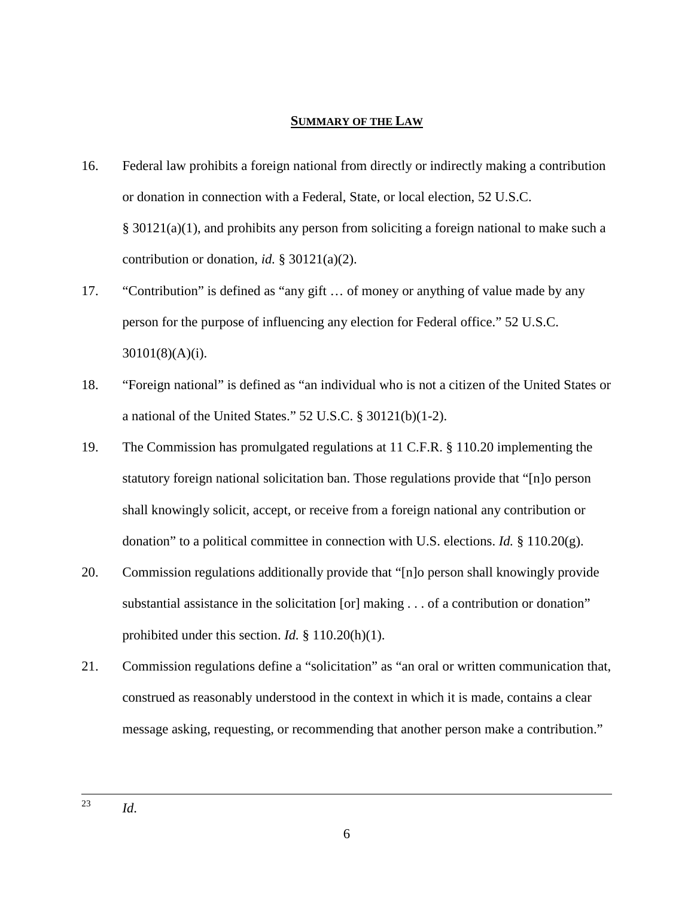### **SUMMARY OF THE LAW**

- 16. Federal law prohibits a foreign national from directly or indirectly making a contribution or donation in connection with a Federal, State, or local election, 52 U.S.C. § 30121(a)(1), and prohibits any person from soliciting a foreign national to make such a contribution or donation, *id.* § 30121(a)(2).
- 17. "Contribution" is defined as "any gift … of money or anything of value made by any person for the purpose of influencing any election for Federal office." 52 U.S.C. 30101(8)(A)(i).
- 18. "Foreign national" is defined as "an individual who is not a citizen of the United States or a national of the United States." 52 U.S.C. § 30121(b)(1-2).
- 19. The Commission has promulgated regulations at 11 C.F.R. § 110.20 implementing the statutory foreign national solicitation ban. Those regulations provide that "[n]o person shall knowingly solicit, accept, or receive from a foreign national any contribution or donation" to a political committee in connection with U.S. elections. *Id.*  $\S$  110.20(g).
- 20. Commission regulations additionally provide that "[n]o person shall knowingly provide substantial assistance in the solicitation [or] making . . . of a contribution or donation" prohibited under this section. *Id.* § 110.20(h)(1).
- 21. Commission regulations define a "solicitation" as "an oral or written communication that, construed as reasonably understood in the context in which it is made, contains a clear message asking, requesting, or recommending that another person make a contribution."

 <sup>23</sup> *Id*.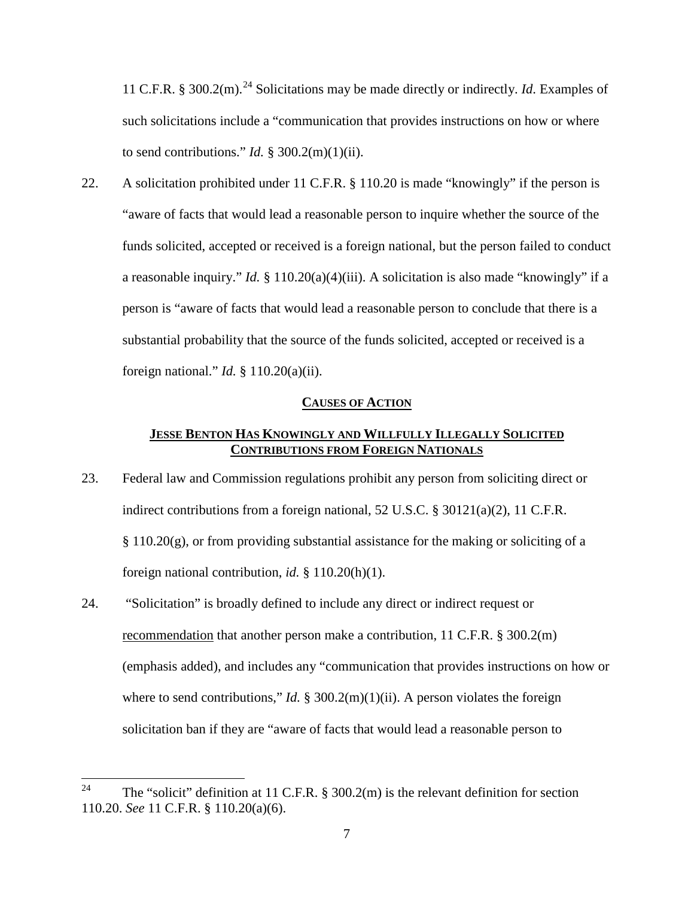11 C.F.R. § 300.2(m).<sup>[24](#page-6-0)</sup> Solicitations may be made directly or indirectly. *Id.* Examples of such solicitations include a "communication that provides instructions on how or where to send contributions." *Id.*  $\S 300.2(m)(1)(ii)$ .

22. A solicitation prohibited under 11 C.F.R. § 110.20 is made "knowingly" if the person is "aware of facts that would lead a reasonable person to inquire whether the source of the funds solicited, accepted or received is a foreign national, but the person failed to conduct a reasonable inquiry." *Id.* § 110.20(a)(4)(iii). A solicitation is also made "knowingly" if a person is "aware of facts that would lead a reasonable person to conclude that there is a substantial probability that the source of the funds solicited, accepted or received is a foreign national." *Id.* § 110.20(a)(ii).

### **CAUSES OF ACTION**

## **JESSE BENTON HAS KNOWINGLY AND WILLFULLY ILLEGALLY SOLICITED CONTRIBUTIONS FROM FOREIGN NATIONALS**

- 23. Federal law and Commission regulations prohibit any person from soliciting direct or indirect contributions from a foreign national, 52 U.S.C. § 30121(a)(2), 11 C.F.R.  $\S 110.20(g)$ , or from providing substantial assistance for the making or soliciting of a foreign national contribution, *id.* § 110.20(h)(1).
- 24. "Solicitation" is broadly defined to include any direct or indirect request or recommendation that another person make a contribution, 11 C.F.R. § 300.2(m) (emphasis added), and includes any "communication that provides instructions on how or where to send contributions," *Id.*  $\S 300.2(m)(1)(ii)$ . A person violates the foreign solicitation ban if they are "aware of facts that would lead a reasonable person to

<span id="page-6-0"></span><sup>&</sup>lt;sup>24</sup> The "solicit" definition at 11 C.F.R. § 300.2(m) is the relevant definition for section 110.20. *See* 11 C.F.R. § 110.20(a)(6).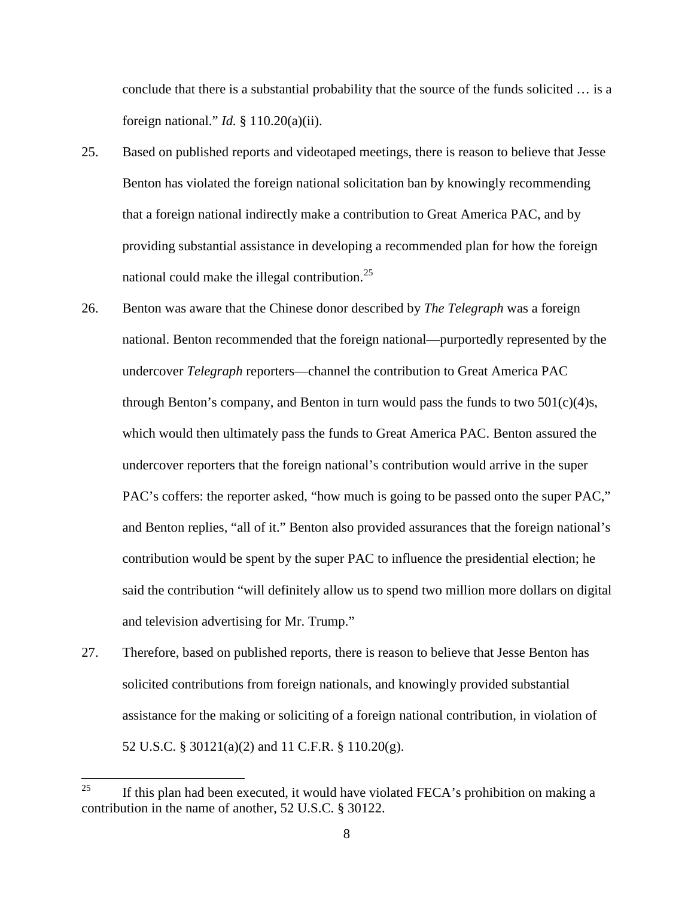conclude that there is a substantial probability that the source of the funds solicited … is a foreign national." *Id.* § 110.20(a)(ii).

- 25. Based on published reports and videotaped meetings, there is reason to believe that Jesse Benton has violated the foreign national solicitation ban by knowingly recommending that a foreign national indirectly make a contribution to Great America PAC, and by providing substantial assistance in developing a recommended plan for how the foreign national could make the illegal contribution. $25$
- 26. Benton was aware that the Chinese donor described by *The Telegraph* was a foreign national. Benton recommended that the foreign national—purportedly represented by the undercover *Telegraph* reporters—channel the contribution to Great America PAC through Benton's company, and Benton in turn would pass the funds to two  $501(c)(4)s$ , which would then ultimately pass the funds to Great America PAC. Benton assured the undercover reporters that the foreign national's contribution would arrive in the super PAC's coffers: the reporter asked, "how much is going to be passed onto the super PAC," and Benton replies, "all of it." Benton also provided assurances that the foreign national's contribution would be spent by the super PAC to influence the presidential election; he said the contribution "will definitely allow us to spend two million more dollars on digital and television advertising for Mr. Trump."
- 27. Therefore, based on published reports, there is reason to believe that Jesse Benton has solicited contributions from foreign nationals, and knowingly provided substantial assistance for the making or soliciting of a foreign national contribution, in violation of 52 U.S.C. § 30121(a)(2) and 11 C.F.R. § 110.20(g).

<span id="page-7-0"></span><sup>&</sup>lt;sup>25</sup> If this plan had been executed, it would have violated FECA's prohibition on making a contribution in the name of another, 52 U.S.C. § 30122.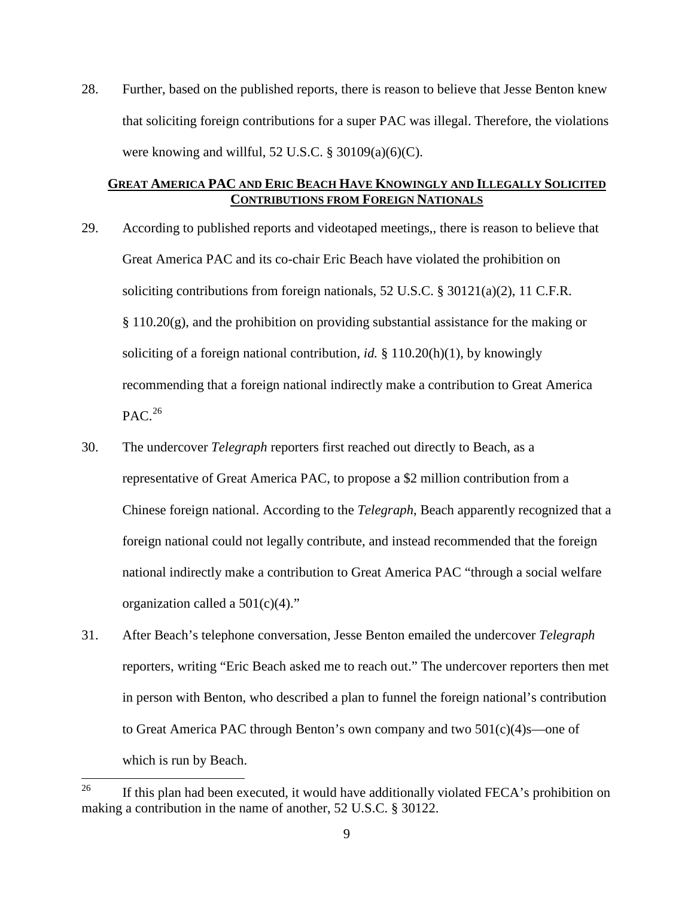28. Further, based on the published reports, there is reason to believe that Jesse Benton knew that soliciting foreign contributions for a super PAC was illegal. Therefore, the violations were knowing and willful, 52 U.S.C.  $\S$  30109(a)(6)(C).

# **GREAT AMERICA PAC AND ERIC BEACH HAVE KNOWINGLY AND ILLEGALLY SOLICITED CONTRIBUTIONS FROM FOREIGN NATIONALS**

- 29. According to published reports and videotaped meetings,, there is reason to believe that Great America PAC and its co-chair Eric Beach have violated the prohibition on soliciting contributions from foreign nationals, 52 U.S.C. § 30121(a)(2), 11 C.F.R. § 110.20(g), and the prohibition on providing substantial assistance for the making or soliciting of a foreign national contribution, *id.* § 110.20(h)(1), by knowingly recommending that a foreign national indirectly make a contribution to Great America  $PAC.<sup>26</sup>$  $PAC.<sup>26</sup>$  $PAC.<sup>26</sup>$
- 30. The undercover *Telegraph* reporters first reached out directly to Beach, as a representative of Great America PAC, to propose a \$2 million contribution from a Chinese foreign national. According to the *Telegraph*, Beach apparently recognized that a foreign national could not legally contribute, and instead recommended that the foreign national indirectly make a contribution to Great America PAC "through a social welfare organization called a  $501(c)(4)$ ."
- 31. After Beach's telephone conversation, Jesse Benton emailed the undercover *Telegraph* reporters, writing "Eric Beach asked me to reach out." The undercover reporters then met in person with Benton, who described a plan to funnel the foreign national's contribution to Great America PAC through Benton's own company and two 501(c)(4)s—one of which is run by Beach.

<span id="page-8-0"></span><sup>&</sup>lt;sup>26</sup> If this plan had been executed, it would have additionally violated FECA's prohibition on making a contribution in the name of another, 52 U.S.C. § 30122.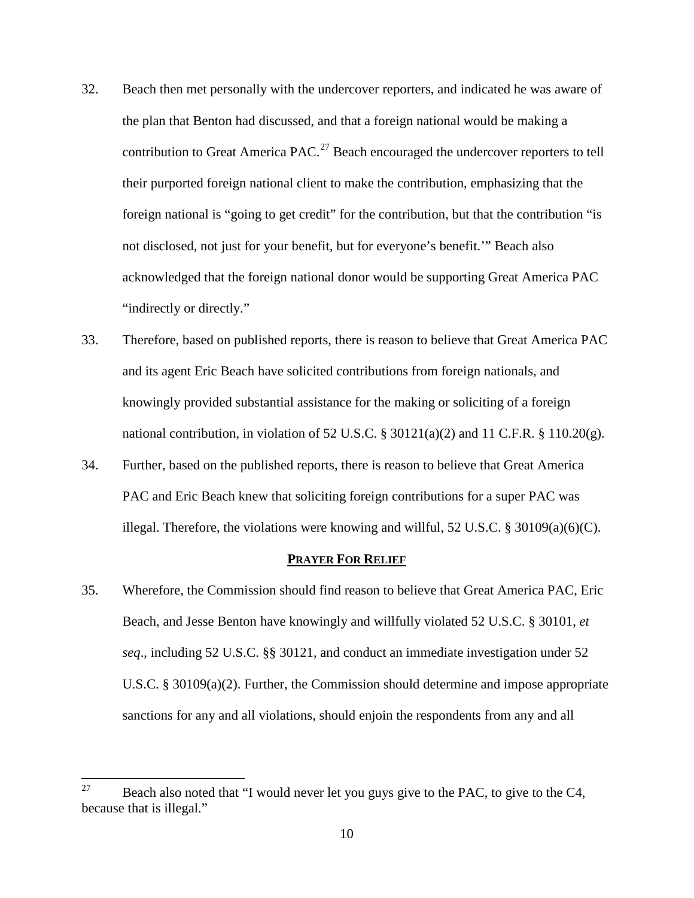- 32. Beach then met personally with the undercover reporters, and indicated he was aware of the plan that Benton had discussed, and that a foreign national would be making a contribution to Great America PAC. $^{27}$  $^{27}$  $^{27}$  Beach encouraged the undercover reporters to tell their purported foreign national client to make the contribution, emphasizing that the foreign national is "going to get credit" for the contribution, but that the contribution "is not disclosed, not just for your benefit, but for everyone's benefit.'" Beach also acknowledged that the foreign national donor would be supporting Great America PAC "indirectly or directly."
- 33. Therefore, based on published reports, there is reason to believe that Great America PAC and its agent Eric Beach have solicited contributions from foreign nationals, and knowingly provided substantial assistance for the making or soliciting of a foreign national contribution, in violation of 52 U.S.C.  $\S 30121(a)(2)$  and 11 C.F.R.  $\S 110.20(g)$ .
- 34. Further, based on the published reports, there is reason to believe that Great America PAC and Eric Beach knew that soliciting foreign contributions for a super PAC was illegal. Therefore, the violations were knowing and willful, 52 U.S.C. § 30109(a)(6)(C).

#### **PRAYER FOR RELIEF**

35. Wherefore, the Commission should find reason to believe that Great America PAC, Eric Beach, and Jesse Benton have knowingly and willfully violated 52 U.S.C. § 30101, *et seq*., including 52 U.S.C. §§ 30121, and conduct an immediate investigation under 52 U.S.C. § 30109(a)(2). Further, the Commission should determine and impose appropriate sanctions for any and all violations, should enjoin the respondents from any and all

<span id="page-9-0"></span><sup>&</sup>lt;sup>27</sup> Beach also noted that "I would never let you guys give to the PAC, to give to the C4, because that is illegal."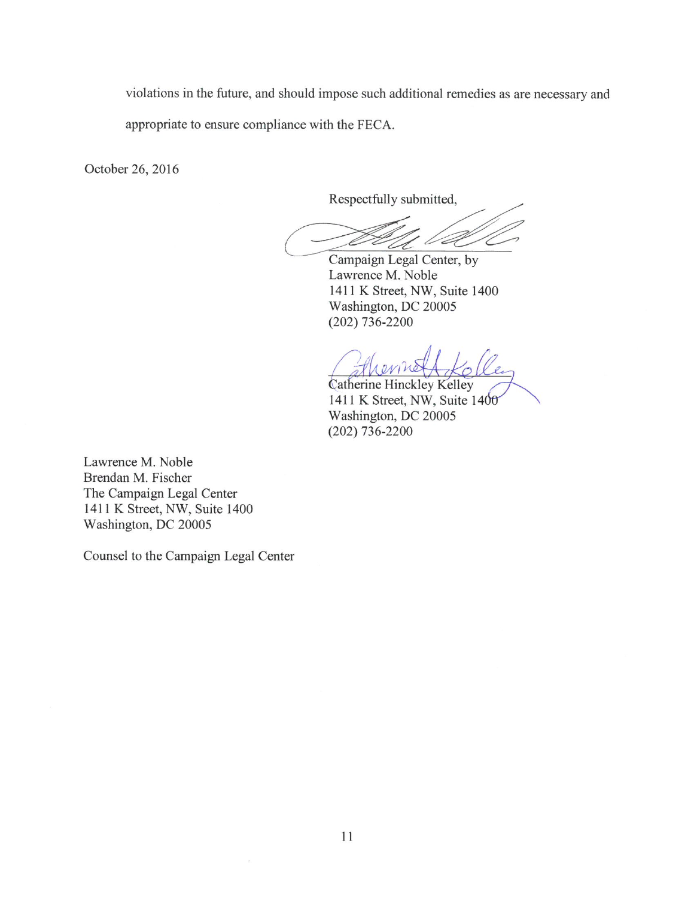violations in the future, and should impose such additional remedies as are necessary and

appropriate to ensure compliance with the FECA.

October 26, 2016

Respectfully submitted,

Campaign Legal Center, by Lawrence M. Noble 1411 K Street, NW, Suite 1400 Washington, DC 20005  $(202)$  736-2200

Catherine Hinckley Kelley 1411 K Street, NW, Suite 1400 Washington, DC 20005  $(202)$  736-2200

Lawrence M. Noble Brendan M. Fischer The Campaign Legal Center 1411 K Street, NW, Suite 1400 Washington, DC 20005

Counsel to the Campaign Legal Center